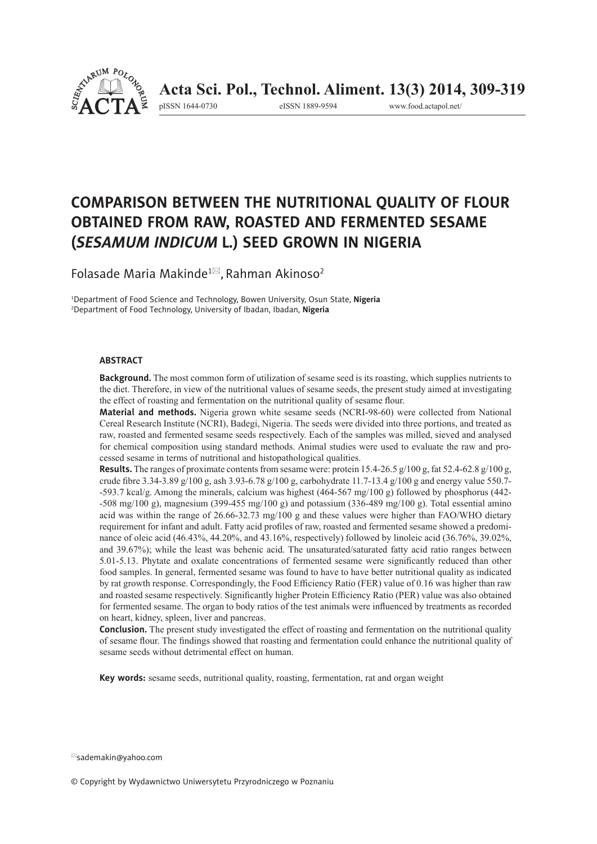

pISSN 1644-0730 eISSN 1889-9594 www.food.actapol.net/

# **COMPARISON BETWEEN THE NUTRITIONAL QUALITY OF FLOUR OBTAINED FROM RAW, ROASTED AND FERMENTED SESAME (***SESAMUM INDICUM* **L.) SEED GROWN IN NIGERIA**

Folasade Maria Makinde<sup>1 $\boxtimes$ </sup>, Rahman Akinoso<sup>2</sup>

1 Department of Food Science and Technology, Bowen University, Osun State, **Nigeria** 2 Department of Food Technology, University of Ibadan, Ibadan, **Nigeria**

#### **ABSTRACT**

**Background.** The most common form of utilization of sesame seed is its roasting, which supplies nutrients to the diet. Therefore, in view of the nutritional values of sesame seeds, the present study aimed at investigating the effect of roasting and fermentation on the nutritional quality of sesame flour.

**Material and methods.** Nigeria grown white sesame seeds (NCRI-98-60) were collected from National Cereal Research Institute (NCRI), Badegi, Nigeria. The seeds were divided into three portions, and treated as raw, roasted and fermented sesame seeds respectively. Each of the samples was milled, sieved and analysed for chemical composition using standard methods. Animal studies were used to evaluate the raw and processed sesame in terms of nutritional and histopathological qualities.

**Results.** The ranges of proximate contents from sesame were: protein  $15.4-26.5 \frac{\text{g}}{100 \text{ g}}$ , fat  $52.4-62.8 \frac{\text{g}}{100 \text{ g}}$ , crude fibre 3.34-3.89 g/100 g, ash 3.93-6.78 g/100 g, carbohydrate 11.7-13.4 g/100 g and energy value 550.7--593.7 kcal/g. Among the minerals, calcium was highest (464-567 mg/100 g) followed by phosphorus (442-  $-508 \text{ me}/100 \text{ g}$ ), magnesium (399-455 mg/100 g) and potassium (336-489 mg/100 g). Total essential amino acid was within the range of 26.66-32.73 mg/100 g and these values were higher than FAO/WHO dietary requirement for infant and adult. Fatty acid profiles of raw, roasted and fermented sesame showed a predominance of oleic acid (46.43%, 44.20%, and 43.16%, respectively) followed by linoleic acid (36.76%, 39.02%, and 39.67%); while the least was behenic acid. The unsaturated/saturated fatty acid ratio ranges between 5.01-5.13. Phytate and oxalate concentrations of fermented sesame were significantly reduced than other food samples. In general, fermented sesame was found to have to have better nutritional quality as indicated by rat growth response. Correspondingly, the Food Efficiency Ratio (FER) value of 0.16 was higher than raw and roasted sesame respectively. Significantly higher Protein Efficiency Ratio (PER) value was also obtained for fermented sesame. The organ to body ratios of the test animals were influenced by treatments as recorded on heart, kidney, spleen, liver and pancreas.

**Conclusion.** The present study investigated the effect of roasting and fermentation on the nutritional quality of sesame flour. The findings showed that roasting and fermentation could enhance the nutritional quality of sesame seeds without detrimental effect on human.

**Key words:** sesame seeds, nutritional quality, roasting, fermentation, rat and organ weight

sademakin@yahoo.com

<sup>©</sup> Copyright by Wydawnictwo Uniwersytetu Przyrodniczego w Poznaniu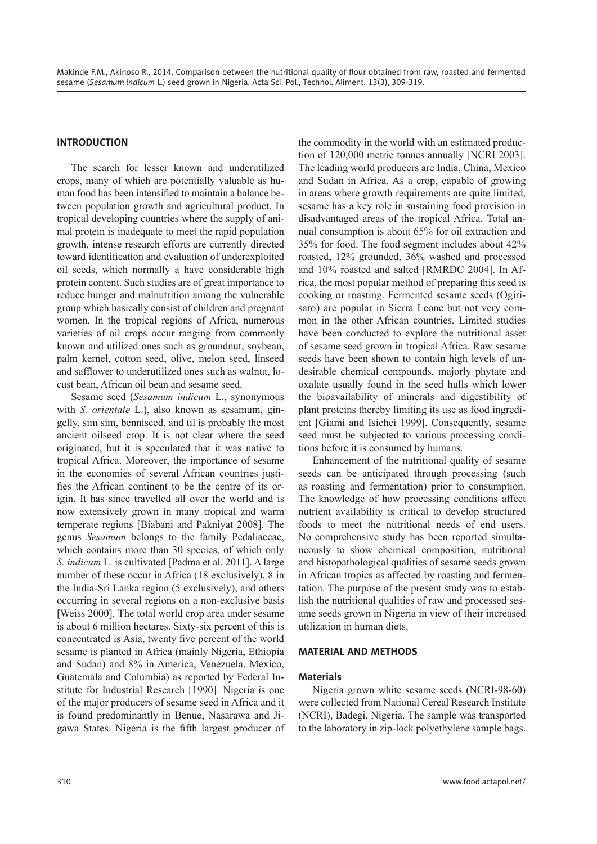# **INTRODUCTION**

The search for lesser known and underutilized crops, many of which are potentially valuable as human food has been intensified to maintain a balance between population growth and agricultural product. In tropical developing countries where the supply of animal protein is inadequate to meet the rapid population growth, intense research efforts are currently directed toward identification and evaluation of underexploited oil seeds, which normally a have considerable high protein content. Such studies are of great importance to reduce hunger and malnutrition among the vulnerable group which basically consist of children and pregnant women. In the tropical regions of Africa, numerous varieties of oil crops occur ranging from commonly known and utilized ones such as groundnut, soybean, palm kernel, cotton seed, olive, melon seed, linseed and safflower to underutilized ones such as walnut, locust bean, African oil bean and sesame seed.

Sesame seed (*Sesamum indicum* L., synonymous with *S. orientale* L.), also known as sesamum, gingelly, sim sim, benniseed, and til is probably the most ancient oilseed crop. It is not clear where the seed originated, but it is speculated that it was native to tropical Africa. Moreover, the importance of sesame in the economies of several African countries justifies the African continent to be the centre of its origin. It has since travelled all over the world and is now extensively grown in many tropical and warm temperate regions [Biabani and Pakniyat 2008]. The genus *Sesamum* belongs to the family Pedaliaceae, which contains more than 30 species, of which only *S. indicum* L. is cultivated [Padma et al. 2011]. A large number of these occur in Africa (18 exclusively), 8 in the India-Sri Lanka region (5 exclusively), and others occurring in several regions on a non-exclusive basis [Weiss 2000]. The total world crop area under sesame is about 6 million hectares. Sixty-six percent of this is concentrated is Asia, twenty five percent of the world sesame is planted in Africa (mainly Nigeria, Ethiopia and Sudan) and 8% in America, Venezuela, Mexico, Guatemala and Columbia) as reported by Federal Institute for Industrial Research [1990]. Nigeria is one of the major producers of sesame seed in Africa and it is found predominantly in Benue, Nasarawa and Jigawa States. Nigeria is the fifth largest producer of

the commodity in the world with an estimated production of 120,000 metric tonnes annually [NCRI 2003]. The leading world producers are India, China, Mexico and Sudan in Africa. As a crop, capable of growing in areas where growth requirements are quite limited, sesame has a key role in sustaining food provision in disadvantaged areas of the tropical Africa. Total annual consumption is about 65% for oil extraction and 35% for food. The food segment includes about 42% roasted, 12% grounded, 36% washed and processed and 10% roasted and salted [RMRDC 2004]. In Africa, the most popular method of preparing this seed is cooking or roasting. Fermented sesame seeds (Ogirisaro) are popular in Sierra Leone but not very common in the other African countries. Limited studies have been conducted to explore the nutritional asset of sesame seed grown in tropical Africa. Raw sesame seeds have been shown to contain high levels of undesirable chemical compounds, majorly phytate and oxalate usually found in the seed hulls which lower the bioavailability of minerals and digestibility of plant proteins thereby limiting its use as food ingredient [Giami and Isichei 1999]. Consequently, sesame seed must be subjected to various processing conditions before it is consumed by humans.

Enhancement of the nutritional quality of sesame seeds can be anticipated through processing (such as roasting and fermentation) prior to consumption. The knowledge of how processing conditions affect nutrient availability is critical to develop structured foods to meet the nutritional needs of end users. No comprehensive study has been reported simultaneously to show chemical composition, nutritional and histopathological qualities of sesame seeds grown in African tropics as affected by roasting and fermentation. The purpose of the present study was to establish the nutritional qualities of raw and processed sesame seeds grown in Nigeria in view of their increased utilization in human diets.

#### **MATERIAL AND METHODS**

#### **Materials**

Nigeria grown white sesame seeds (NCRI-98-60) were collected from National Cereal Research Institute (NCRI), Badegi, Nigeria. The sample was transported to the laboratory in zip-lock polyethylene sample bags.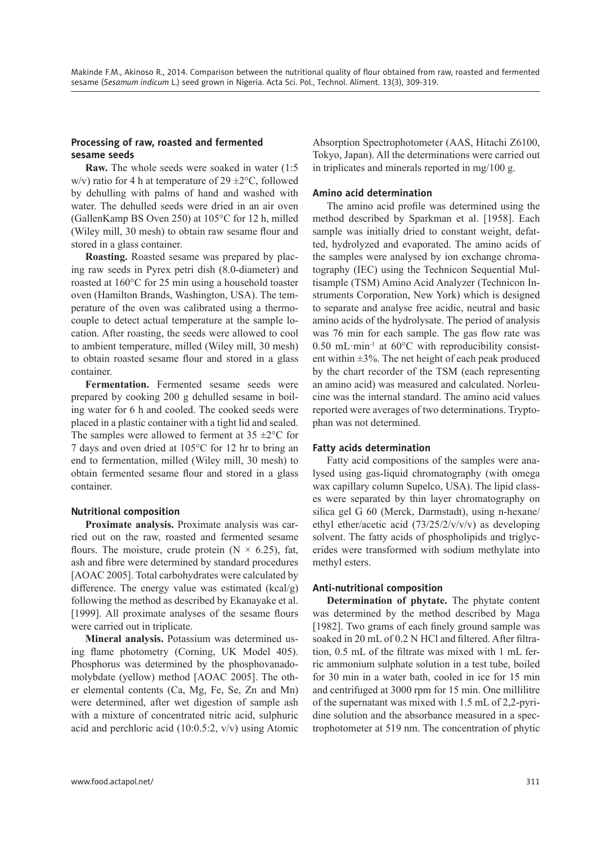## **Processing of raw, roasted and fermented sesame seeds**

**Raw.** The whole seeds were soaked in water (1:5 w/v) ratio for 4 h at temperature of  $29 \pm 2^{\circ}$ C, followed by dehulling with palms of hand and washed with water. The dehulled seeds were dried in an air oven (GallenKamp BS Oven 250) at 105°C for 12 h, milled (Wiley mill, 30 mesh) to obtain raw sesame flour and stored in a glass container.

**Roasting.** Roasted sesame was prepared by placing raw seeds in Pyrex petri dish (8.0-diameter) and roasted at 160°C for 25 min using a household toaster oven (Hamilton Brands, Washington, USA). The temperature of the oven was calibrated using a thermocouple to detect actual temperature at the sample location. After roasting, the seeds were allowed to cool to ambient temperature, milled (Wiley mill, 30 mesh) to obtain roasted sesame flour and stored in a glass container.

**Fermentation.** Fermented sesame seeds were prepared by cooking 200 g dehulled sesame in boiling water for 6 h and cooled. The cooked seeds were placed in a plastic container with a tight lid and sealed. The samples were allowed to ferment at  $35 \pm 2^{\circ}$ C for 7 days and oven dried at 105°C for 12 hr to bring an end to fermentation, milled (Wiley mill, 30 mesh) to obtain fermented sesame flour and stored in a glass container.

#### **Nutritional composition**

**Proximate analysis.** Proximate analysis was carried out on the raw, roasted and fermented sesame flours. The moisture, crude protein ( $N \times 6.25$ ), fat, ash and fibre were determined by standard procedures [AOAC 2005]. Total carbohydrates were calculated by difference. The energy value was estimated (kcal/g) following the method as described by Ekanayake et al. [1999]. All proximate analyses of the sesame flours were carried out in triplicate.

**Mineral analysis.** Potassium was determined using flame photometry (Corning, UK Model 405). Phosphorus was determined by the phosphovanadomolybdate (yellow) method [AOAC 2005]. The other elemental contents (Ca, Mg, Fe, Se, Zn and Mn) were determined, after wet digestion of sample ash with a mixture of concentrated nitric acid, sulphuric acid and perchloric acid (10:0.5:2, v/v) using Atomic Absorption Spectrophotometer (AAS, Hitachi Z6100, Tokyo, Japan). All the determinations were carried out in triplicates and minerals reported in mg/100 g.

## **Amino acid determination**

The amino acid profile was determined using the method described by Sparkman et al. [1958]. Each sample was initially dried to constant weight, defatted, hydrolyzed and evaporated. The amino acids of the samples were analysed by ion exchange chromatography (IEC) using the Technicon Sequential Multisample (TSM) Amino Acid Analyzer (Technicon Instruments Corporation, New York) which is designed to separate and analyse free acidic, neutral and basic amino acids of the hydrolysate. The period of analysis was 76 min for each sample. The gas flow rate was  $0.50$  mL·min<sup>-1</sup> at  $60^{\circ}$ C with reproducibility consistent within  $\pm 3\%$ . The net height of each peak produced by the chart recorder of the TSM (each representing an amino acid) was measured and calculated. Norleucine was the internal standard. The amino acid values reported were averages of two determinations. Tryptophan was not determined.

#### **Fatty acids determination**

Fatty acid compositions of the samples were analysed using gas-liquid chromatography (with omega wax capillary column Supelco, USA). The lipid classes were separated by thin layer chromatography on silica gel G 60 (Merck, Darmstadt), using n-hexane/ ethyl ether/acetic acid (73/25/2/v/v/v) as developing solvent. The fatty acids of phospholipids and triglycerides were transformed with sodium methylate into methyl esters.

# **Anti-nutritional composition**

**Determination of phytate.** The phytate content was determined by the method described by Maga [1982]. Two grams of each finely ground sample was soaked in 20 mL of 0.2 N HCl and filtered. After filtration, 0.5 mL of the filtrate was mixed with 1 mL ferric ammonium sulphate solution in a test tube, boiled for 30 min in a water bath, cooled in ice for 15 min and centrifuged at 3000 rpm for 15 min. One millilitre of the supernatant was mixed with 1.5 mL of 2,2-pyridine solution and the absorbance measured in a spectrophotometer at 519 nm. The concentration of phytic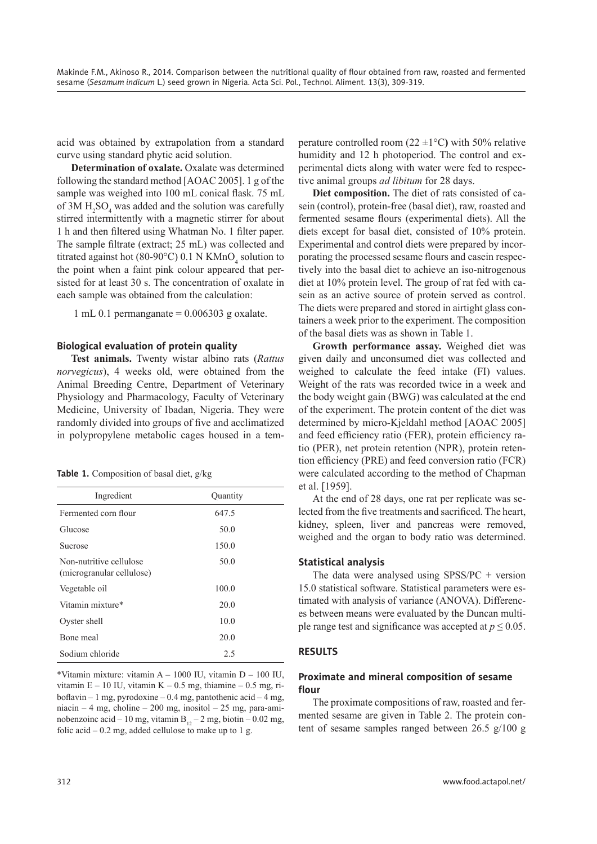acid was obtained by extrapolation from a standard curve using standard phytic acid solution.

**Determination of oxalate.** Oxalate was determined following the standard method [AOAC 2005]. 1 g of the sample was weighed into 100 mL conical flask. 75 mL of  $3M H_2SO_4$  was added and the solution was carefully stirred intermittently with a magnetic stirrer for about 1 h and then filtered using Whatman No. 1 filter paper. The sample filtrate (extract; 25 mL) was collected and titrated against hot (80-90°C) 0.1 N  $KMnO<sub>4</sub>$  solution to the point when a faint pink colour appeared that persisted for at least 30 s. The concentration of oxalate in each sample was obtained from the calculation:

1 mL 0.1 permanganate  $= 0.006303$  g oxalate.

#### **Biological evaluation of protein quality**

**Test animals.** Twenty wistar albino rats (*Rattus norvegicus*), 4 weeks old, were obtained from the Animal Breeding Centre, Department of Veterinary Physiology and Pharmacology, Faculty of Veterinary Medicine, University of Ibadan, Nigeria. They were randomly divided into groups of five and acclimatized in polypropylene metabolic cages housed in a tem-

|  |  | Table 1. Composition of basal diet, g/kg |  |  |  |
|--|--|------------------------------------------|--|--|--|
|--|--|------------------------------------------|--|--|--|

| Ingredient                                           | Quantity |
|------------------------------------------------------|----------|
| Fermented corn flour                                 | 647.5    |
| Glucose                                              | 50.0     |
| Sucrose                                              | 150.0    |
| Non-nutritive cellulose<br>(microgranular cellulose) | 50.0     |
| Vegetable oil                                        | 100.0    |
| Vitamin mixture*                                     | 20.0     |
| Oyster shell                                         | 10.0     |
| Bone meal                                            | 20.0     |
| Sodium chloride                                      | 2.5      |

\*Vitamin mixture: vitamin A – 1000 IU, vitamin D – 100 IU, vitamin  $E - 10$  IU, vitamin  $K - 0.5$  mg, thiamine  $- 0.5$  mg, riboflavin – 1 mg, pyrodoxine – 0.4 mg, pantothenic acid – 4 mg, niacin – 4 mg, choline – 200 mg, inositol – 25 mg, para-aminobenzoinc acid – 10 mg, vitamin  $B_{12} - 2$  mg, biotin – 0.02 mg, folic acid  $-0.2$  mg, added cellulose to make up to 1 g.

perature controlled room  $(22 \pm 1^{\circ}C)$  with 50% relative humidity and 12 h photoperiod. The control and experimental diets along with water were fed to respective animal groups *ad libitum* for 28 days.

**Diet composition.** The diet of rats consisted of casein (control), protein-free (basal diet), raw, roasted and fermented sesame flours (experimental diets). All the diets except for basal diet, consisted of 10% protein. Experimental and control diets were prepared by incorporating the processed sesame flours and casein respectively into the basal diet to achieve an iso-nitrogenous diet at 10% protein level. The group of rat fed with casein as an active source of protein served as control. The diets were prepared and stored in airtight glass containers a week prior to the experiment. The composition of the basal diets was as shown in Table 1.

**Growth performance assay.** Weighed diet was given daily and unconsumed diet was collected and weighed to calculate the feed intake (FI) values. Weight of the rats was recorded twice in a week and the body weight gain (BWG) was calculated at the end of the experiment. The protein content of the diet was determined by micro-Kjeldahl method [AOAC 2005] and feed efficiency ratio (FER), protein efficiency ratio (PER), net protein retention (NPR), protein retention efficiency (PRE) and feed conversion ratio (FCR) were calculated according to the method of Chapman et al. [1959].

At the end of 28 days, one rat per replicate was selected from the five treatments and sacrificed. The heart, kidney, spleen, liver and pancreas were removed, weighed and the organ to body ratio was determined.

#### **Statistical analysis**

The data were analysed using SPSS/PC + version 15.0 statistical software. Statistical parameters were estimated with analysis of variance (ANOVA). Differences between means were evaluated by the Duncan multiple range test and significance was accepted at  $p \leq 0.05$ .

#### **RESULTS**

# **Proximate and mineral composition of sesame fl our**

The proximate compositions of raw, roasted and fermented sesame are given in Table 2. The protein content of sesame samples ranged between 26.5 g/100 g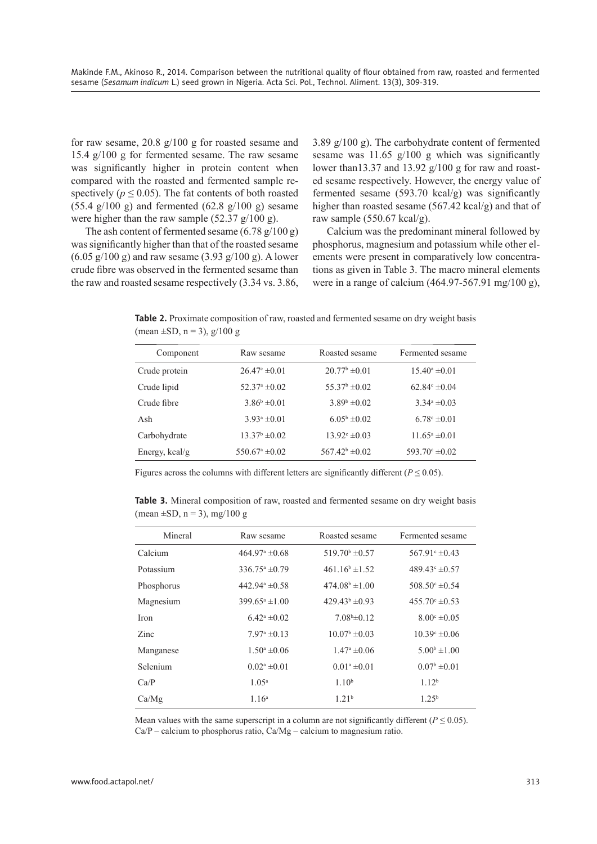for raw sesame, 20.8 g/100 g for roasted sesame and 15.4 g/100 g for fermented sesame. The raw sesame was significantly higher in protein content when compared with the roasted and fermented sample respectively ( $p \le 0.05$ ). The fat contents of both roasted  $(55.4 \text{ g}/100 \text{ g})$  and fermented  $(62.8 \text{ g}/100 \text{ g})$  sesame were higher than the raw sample  $(52.37 \text{ g}/100 \text{ g})$ .

The ash content of fermented sesame  $(6.78 \text{ g}/100 \text{ g})$ was significantly higher than that of the roasted sesame  $(6.05 \text{ g}/100 \text{ g})$  and raw sesame  $(3.93 \text{ g}/100 \text{ g})$ . A lower crude fibre was observed in the fermented sesame than the raw and roasted sesame respectively (3.34 vs. 3.86,

3.89 g/100 g). The carbohydrate content of fermented sesame was  $11.65$  g/100 g which was significantly lower than 13.37 and 13.92  $g/100 g$  for raw and roasted sesame respectively. However, the energy value of fermented sesame  $(593.70 \text{ kcal/g})$  was significantly higher than roasted sesame (567.42 kcal/g) and that of raw sample (550.67 kcal/g).

Calcium was the predominant mineral followed by phosphorus, magnesium and potassium while other elements were present in comparatively low concentrations as given in Table 3. The macro mineral elements were in a range of calcium (464.97-567.91 mg/100 g),

**Table 2.** Proximate composition of raw, roasted and fermented sesame on dry weight basis  $(\text{mean} \pm \text{SD}, \text{n} = 3), g/100 g$ 

| Component      | Raw sesame                | Roasted sesame           | Fermented sesame              |
|----------------|---------------------------|--------------------------|-------------------------------|
| Crude protein  | $26.47^{\circ} \pm 0.01$  | $20.77^{\rm b} \pm 0.01$ | $15.40^{\circ} \pm 0.01$      |
| Crude lipid    | $52.37^{\circ} \pm 0.02$  | $55.37^{\rm b} \pm 0.02$ | $62.84^{\circ} \pm 0.04$      |
| Crude fibre    | $3.86^b \pm 0.01$         | $3.89^b \pm 0.02$        | $3.34^{\circ} \pm 0.03$       |
| Ash            | $3.93^a \pm 0.01$         | $6.05^b \pm 0.02$        | $6.78^{\circ} \pm 0.01$       |
| Carbohydrate   | $13.37^{\rm b} \pm 0.02$  | $13.92^{\circ} \pm 0.03$ | $11.65^a \pm 0.01$            |
| Energy, kcal/g | $550.67^{\circ} \pm 0.02$ | $567.42^b \pm 0.02$      | 593.70 $\textdegree \pm 0.02$ |
|                |                           |                          |                               |

Figures across the columns with different letters are significantly different ( $P \le 0.05$ ).

**Table 3.** Mineral composition of raw, roasted and fermented sesame on dry weight basis (mean  $\pm$ SD, n = 3), mg/100 g

| Mineral    | Raw sesame                | Roasted sesame            | Fermented sesame              |
|------------|---------------------------|---------------------------|-------------------------------|
| Calcium    | $464.97^{\circ} \pm 0.68$ | $519.70^{\rm b} \pm 0.57$ | $567.91^{\circ} \pm 0.43$     |
| Potassium  | $336.75^{\circ} \pm 0.79$ | $461.16^b \pm 1.52$       | 489.43 $\textdegree \pm 0.57$ |
| Phosphorus | $442.94^{\circ} \pm 0.58$ | $474.08b \pm 1.00$        | $508.50^{\circ} \pm 0.54$     |
| Magnesium  | $399.65^{\circ} \pm 1.00$ | $429.43^b \pm 0.93$       | $455.70^{\circ} \pm 0.53$     |
| Iron       | $6.42^{\mathrm{a}}$ ±0.02 | $7.08b\pm 0.12$           | $8.00^{\circ} \pm 0.05$       |
| Zinc       | $7.97^{\circ} \pm 0.13$   | $10.07^{\rm b} \pm 0.03$  | $10.39^{\circ} \pm 0.06$      |
| Manganese  | $1.50^a \pm 0.06$         | $1.47^{\mathrm{a}}$ ±0.06 | $5.00b \pm 1.00$              |
| Selenium   | $0.02^a \pm 0.01$         | $0.01^a \pm 0.01$         | $0.07^b \pm 0.01$             |
| Ca/P       | 1.05 <sup>a</sup>         | 1.10 <sup>b</sup>         | 1.12 <sup>b</sup>             |
| Ca/Mg      | 1.16 <sup>a</sup>         | 1.21 <sup>b</sup>         | $1.25^{b}$                    |

Mean values with the same superscript in a column are not significantly different  $(P \le 0.05)$ .  $Ca/P - calcium$  to phosphorus ratio,  $Ca/Mg - calcium$  to magnesium ratio.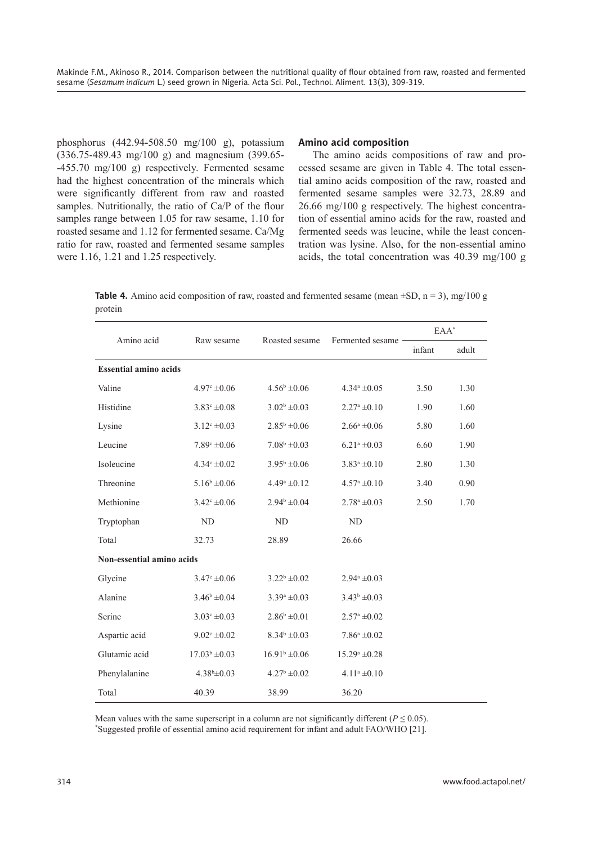phosphorus (442.94**-**508.50 mg/100 g), potassium (336.75-489.43 mg/100 g) and magnesium (399.65- -455.70 mg/100 g) respectively. Fermented sesame had the highest concentration of the minerals which were significantly different from raw and roasted samples. Nutritionally, the ratio of  $Ca/P$  of the flour samples range between 1.05 for raw sesame, 1.10 for roasted sesame and 1.12 for fermented sesame. Ca/Mg ratio for raw, roasted and fermented sesame samples were 1.16, 1.21 and 1.25 respectively.

## **Amino acid composition**

The amino acids compositions of raw and processed sesame are given in Table 4. The total essential amino acids composition of the raw, roasted and fermented sesame samples were 32.73, 28.89 and 26.66 mg/100 g respectively. The highest concentration of essential amino acids for the raw, roasted and fermented seeds was leucine, while the least concentration was lysine. Also, for the non-essential amino acids, the total concentration was 40.39 mg/100 g

**Table 4.** Amino acid composition of raw, roasted and fermented sesame (mean  $\pm SD$ , n = 3), mg/100 g protein

|                              |                         |                         | Fermented sesame<br>Roasted sesame |        | $EAA^*$ |  |
|------------------------------|-------------------------|-------------------------|------------------------------------|--------|---------|--|
| Amino acid                   | Raw sesame              |                         |                                    | infant | adult   |  |
| <b>Essential amino acids</b> |                         |                         |                                    |        |         |  |
| Valine                       | $4.97^{\circ} \pm 0.06$ | $4.56^b \pm 0.06$       | $4.34^a \pm 0.05$                  | 3.50   | 1.30    |  |
| Histidine                    | $3.83^{\circ} \pm 0.08$ | $3.02^b \pm 0.03$       | $2.27^{\mathrm{a}}\pm0.10$         | 1.90   | 1.60    |  |
| Lysine                       | $3.12^{\circ} \pm 0.03$ | $2.85^b \pm 0.06$       | $2.66^a \pm 0.06$                  | 5.80   | 1.60    |  |
| Leucine                      | $7.89^{\circ} \pm 0.06$ | $7.08^b \pm 0.03$       | $6.21^a \pm 0.03$                  | 6.60   | 1.90    |  |
| Isoleucine                   | $4.34^{\circ} \pm 0.02$ | $3.95^b \pm 0.06$       | $3.83^a \pm 0.10$                  | 2.80   | 1.30    |  |
| Threonine                    | $5.16^b \pm 0.06$       | $4.49^a \pm 0.12$       | $4.57^{\mathrm{a}}\pm0.10$         | 3.40   | 0.90    |  |
| Methionine                   | $3.42^{\circ} \pm 0.06$ | $2.94^b \pm 0.04$       | $2.78^a \pm 0.03$                  | 2.50   | 1.70    |  |
| Tryptophan                   | ${\rm ND}$              | ND                      | ${\rm ND}$                         |        |         |  |
| Total                        | 32.73                   | 28.89                   | 26.66                              |        |         |  |
| Non-essential amino acids    |                         |                         |                                    |        |         |  |
| Glycine                      | $3.47^{\circ} \pm 0.06$ | $3.22^b \pm 0.02$       | $2.94^a \pm 0.03$                  |        |         |  |
| Alanine                      | $3.46^b \pm 0.04$       | $3.39^a \pm 0.03$       | $3.43^b \pm 0.03$                  |        |         |  |
| Serine                       | $3.03^{\circ} \pm 0.03$ | $2.86^b \pm 0.01$       | $2.57^{\circ} \pm 0.02$            |        |         |  |
| Aspartic acid                | $9.02^{\circ} \pm 0.02$ | $8.34^b \pm 0.03$       | $7.86^a \pm 0.02$                  |        |         |  |
| Glutamic acid                | $17.03^b \pm 0.03$      | $16.91b \pm 0.06$       | $15.29^a \pm 0.28$                 |        |         |  |
| Phenylalanine                | $4.38b\pm0.03$          | $4.27^{\rm b} \pm 0.02$ | $4.11^a \pm 0.10$                  |        |         |  |
| Total                        | 40.39                   | 38.99                   | 36.20                              |        |         |  |

Mean values with the same superscript in a column are not significantly different ( $P \le 0.05$ ). \* Suggested profi le of essential amino acid requirement for infant and adult FAO/WHO [21].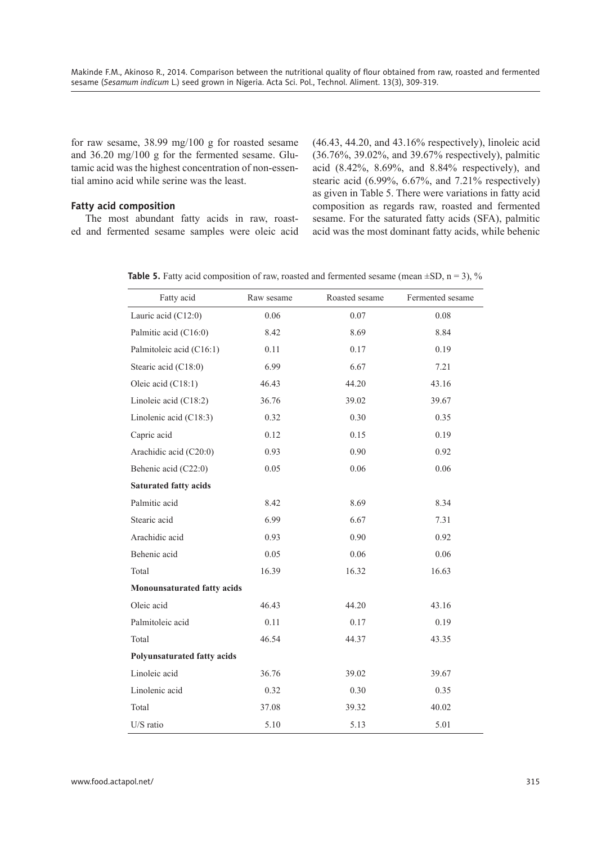for raw sesame, 38.99 mg/100 g for roasted sesame and 36.20 mg/100 g for the fermented sesame. Glutamic acid was the highest concentration of non-essential amino acid while serine was the least.

#### **Fatty acid composition**

The most abundant fatty acids in raw, roasted and fermented sesame samples were oleic acid (46.43, 44.20, and 43.16% respectively), linoleic acid (36.76%, 39.02%, and 39.67% respectively), palmitic acid (8.42%, 8.69%, and 8.84% respectively), and stearic acid (6.99%, 6.67%, and 7.21% respectively) as given in Table 5. There were variations in fatty acid composition as regards raw, roasted and fermented sesame. For the saturated fatty acids (SFA), palmitic acid was the most dominant fatty acids, while behenic

**Table 5.** Fatty acid composition of raw, roasted and fermented sesame (mean  $\pm SD$ , n = 3), %

| Fatty acid                         | Raw sesame | Roasted sesame | Fermented sesame |  |  |  |
|------------------------------------|------------|----------------|------------------|--|--|--|
| Lauric acid (C12:0)                | 0.06       | 0.07           | 0.08             |  |  |  |
| Palmitic acid (C16:0)              | 8.42       | 8.69           | 8.84             |  |  |  |
| Palmitoleic acid (C16:1)           | 0.11       | 0.17           | 0.19             |  |  |  |
| Stearic acid (C18:0)               | 6.99       | 6.67           | 7.21             |  |  |  |
| Oleic acid (C18:1)                 | 46.43      | 44.20          | 43.16            |  |  |  |
| Linoleic acid (C18:2)              | 36.76      | 39.02          | 39.67            |  |  |  |
| Linolenic acid (C18:3)             | 0.32       | 0.30           | 0.35             |  |  |  |
| Capric acid                        | 0.12       | 0.15           | 0.19             |  |  |  |
| Arachidic acid (C20:0)             | 0.93       | 0.90           | 0.92             |  |  |  |
| Behenic acid (C22:0)               | 0.05       | 0.06           | 0.06             |  |  |  |
| <b>Saturated fatty acids</b>       |            |                |                  |  |  |  |
| Palmitic acid                      | 8.42       | 8.69           | 8.34             |  |  |  |
| Stearic acid                       | 6.99       | 6.67           | 7.31             |  |  |  |
| Arachidic acid                     | 0.93       | 0.90           | 0.92             |  |  |  |
| Behenic acid                       | 0.05       | 0.06           | 0.06             |  |  |  |
| Total                              | 16.39      | 16.32          | 16.63            |  |  |  |
| Monounsaturated fatty acids        |            |                |                  |  |  |  |
| Oleic acid                         | 46.43      | 44.20          | 43.16            |  |  |  |
| Palmitoleic acid                   | 0.11       | 0.17           | 0.19             |  |  |  |
| Total                              | 46.54      | 44.37          | 43.35            |  |  |  |
| <b>Polyunsaturated fatty acids</b> |            |                |                  |  |  |  |
| Linoleic acid                      | 36.76      | 39.02          | 39.67            |  |  |  |
| Linolenic acid                     | 0.32       | 0.30           | 0.35             |  |  |  |
| Total                              | 37.08      | 39.32          | 40.02            |  |  |  |
| U/S ratio                          | 5.10       | 5.13           | 5.01             |  |  |  |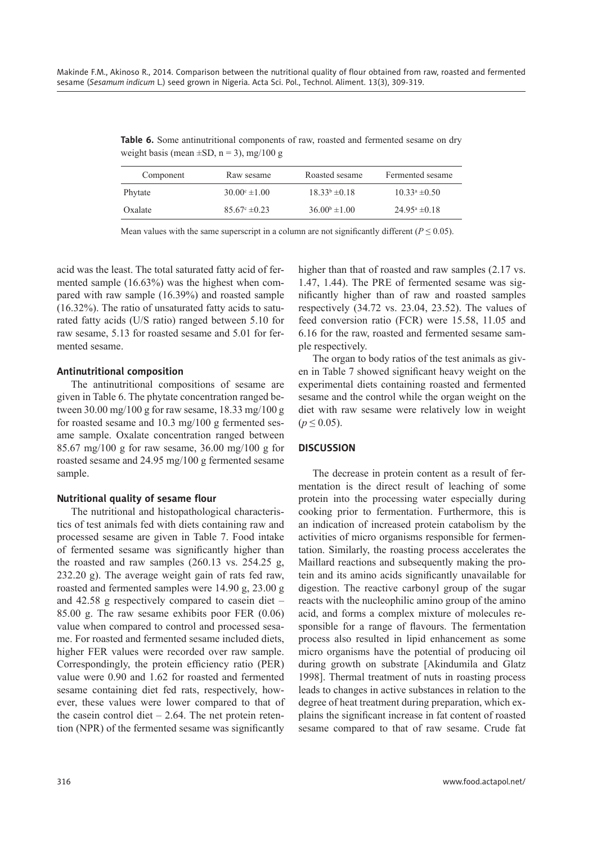**Table 6.** Some antinutritional components of raw, roasted and fermented sesame on dry weight basis (mean  $\pm$ SD, n = 3), mg/100 g

| Component | Raw sesame               | Roasted sesame           | Fermented sesame         |
|-----------|--------------------------|--------------------------|--------------------------|
| Phytate   | $30.00^{\circ} \pm 1.00$ | $18.33b \pm 0.18$        | $10.33^a \pm 0.50$       |
| Oxalate   | $85.67^{\circ} \pm 0.23$ | $36.00^{\circ} \pm 1.00$ | $24.95^{\circ} \pm 0.18$ |

Mean values with the same superscript in a column are not significantly different ( $P \le 0.05$ ).

acid was the least. The total saturated fatty acid of fermented sample (16.63%) was the highest when compared with raw sample (16.39%) and roasted sample (16.32%). The ratio of unsaturated fatty acids to saturated fatty acids (U/S ratio) ranged between 5.10 for raw sesame, 5.13 for roasted sesame and 5.01 for fermented sesame.

#### **Antinutritional composition**

The antinutritional compositions of sesame are given in Table 6. The phytate concentration ranged between 30.00 mg/100 g for raw sesame, 18.33 mg/100 g for roasted sesame and 10.3 mg/100 g fermented sesame sample. Oxalate concentration ranged between 85.67 mg/100 g for raw sesame, 36.00 mg/100 g for roasted sesame and 24.95 mg/100 g fermented sesame sample.

#### **Nutritional quality of sesame flour**

The nutritional and histopathological characteristics of test animals fed with diets containing raw and processed sesame are given in Table 7. Food intake of fermented sesame was significantly higher than the roasted and raw samples (260.13 vs. 254.25 g, 232.20 g). The average weight gain of rats fed raw, roasted and fermented samples were 14.90 g, 23.00 g and 42.58 g respectively compared to casein diet – 85.00 g. The raw sesame exhibits poor FER (0.06) value when compared to control and processed sesame. For roasted and fermented sesame included diets, higher FER values were recorded over raw sample. Correspondingly, the protein efficiency ratio (PER) value were 0.90 and 1.62 for roasted and fermented sesame containing diet fed rats, respectively, however, these values were lower compared to that of the casein control diet  $-2.64$ . The net protein retention (NPR) of the fermented sesame was significantly

higher than that of roasted and raw samples  $(2.17 \text{ vs.}$ 1.47, 1.44). The PRE of fermented sesame was signifi cantly higher than of raw and roasted samples respectively (34.72 vs. 23.04, 23.52). The values of feed conversion ratio (FCR) were 15.58, 11.05 and 6.16 for the raw, roasted and fermented sesame sample respectively.

The organ to body ratios of the test animals as given in Table 7 showed significant heavy weight on the experimental diets containing roasted and fermented sesame and the control while the organ weight on the diet with raw sesame were relatively low in weight  $(p \le 0.05)$ .

#### **DISCUSSION**

The decrease in protein content as a result of fermentation is the direct result of leaching of some protein into the processing water especially during cooking prior to fermentation. Furthermore, this is an indication of increased protein catabolism by the activities of micro organisms responsible for fermentation. Similarly, the roasting process accelerates the Maillard reactions and subsequently making the protein and its amino acids significantly unavailable for digestion. The reactive carbonyl group of the sugar reacts with the nucleophilic amino group of the amino acid, and forms a complex mixture of molecules responsible for a range of flavours. The fermentation process also resulted in lipid enhancement as some micro organisms have the potential of producing oil during growth on substrate [Akindumila and Glatz 1998]. Thermal treatment of nuts in roasting process leads to changes in active substances in relation to the degree of heat treatment during preparation, which explains the significant increase in fat content of roasted sesame compared to that of raw sesame. Crude fat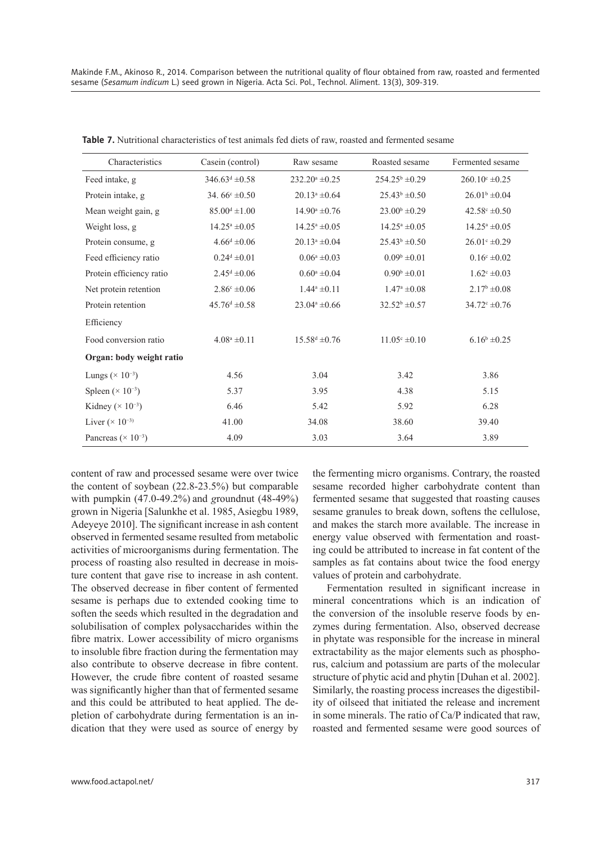| Characteristics                        | Casein (control)             | Raw sesame                  | Roasted sesame             | Fermented sesame            |
|----------------------------------------|------------------------------|-----------------------------|----------------------------|-----------------------------|
| Feed intake, g                         | $346.63^{\text{d}} \pm 0.58$ | $232.20^a \pm 0.25$         | $254.25^{\circ} \pm 0.29$  | $260.10^{\circ} \pm 0.25$   |
| Protein intake, g                      | 34. $66^{\circ} \pm 0.50$    | $20.13^a \pm 0.64$          | $25.43^b \pm 0.50$         | $26.01b \pm 0.04$           |
| Mean weight gain, g                    | $85.00^d \pm 1.00$           | $14.90^{\circ} \pm 0.76$    | $23.00^b \pm 0.29$         | $42.58^{\circ} \pm 0.50$    |
| Weight loss, g                         | $14.25^a \pm 0.05$           | $14.25^a \pm 0.05$          | $14.25^a \pm 0.05$         | $14.25^{\mathrm{a}}\pm0.05$ |
| Protein consume, g                     | $4.66^d \pm 0.06$            | $20.13^a \pm 0.04$          | $25.43^b \pm 0.50$         | $26.01^{\circ} \pm 0.29$    |
| Feed efficiency ratio                  | $0.24^d \pm 0.01$            | $0.06^a \pm 0.03$           | $0.09^b \pm 0.01$          | $0.16^{\circ} \pm 0.02$     |
| Protein efficiency ratio               | $2.45^{\text{d}} \pm 0.06$   | $0.60^a \pm 0.04$           | $0.90^{\rm b} \pm 0.01$    | $1.62^{\circ} \pm 0.03$     |
| Net protein retention                  | $2.86^{\circ} \pm 0.06$      | $1.44^a \pm 0.11$           | $1.47^{\mathrm{a}}\pm0.08$ | $2.17^b \pm 0.08$           |
| Protein retention                      | $45.76^{\rm d} \pm 0.58$     | $23.04^a \pm 0.66$          | $32.52^b \pm 0.57$         | $34.72^{\circ} \pm 0.76$    |
| Efficiency                             |                              |                             |                            |                             |
| Food conversion ratio                  | $4.08^a \pm 0.11$            | $15.58^{\text{d}} \pm 0.76$ | $11.05^{\circ} \pm 0.10$   | $6.16^b \pm 0.25$           |
| Organ: body weight ratio               |                              |                             |                            |                             |
| Lungs ( $\times$ 10 <sup>-3</sup> )    | 4.56                         | 3.04                        | 3.42                       | 3.86                        |
| Spleen ( $\times$ 10 <sup>-3</sup> )   | 5.37                         | 3.95                        | 4.38                       | 5.15                        |
| Kidney ( $\times$ 10 <sup>-3</sup> )   | 6.46                         | 5.42                        | 5.92                       | 6.28                        |
| Liver $(\times 10^{-3})$               | 41.00                        | 34.08                       | 38.60                      | 39.40                       |
| Pancreas ( $\times$ 10 <sup>-3</sup> ) | 4.09                         | 3.03                        | 3.64                       | 3.89                        |

**Table 7.** Nutritional characteristics of test animals fed diets of raw, roasted and fermented sesame

content of raw and processed sesame were over twice the content of soybean (22.8-23.5%) but comparable with pumpkin (47.0-49.2%) and *g*roundnut (48-49%) grown in Nigeria [Salunkhe et al. 1985, Asiegbu 1989, Adeyeye 2010]. The significant increase in ash content observed in fermented sesame resulted from metabolic activities of microorganisms during fermentation. The process of roasting also resulted in decrease in moisture content that gave rise to increase in ash content. The observed decrease in fiber content of fermented sesame is perhaps due to extended cooking time to soften the seeds which resulted in the degradation and solubilisation of complex polysaccharides within the fibre matrix. Lower accessibility of micro organisms to insoluble fibre fraction during the fermentation may also contribute to observe decrease in fibre content. However, the crude fibre content of roasted sesame was significantly higher than that of fermented sesame and this could be attributed to heat applied. The depletion of carbohydrate during fermentation is an indication that they were used as source of energy by the fermenting micro organisms. Contrary, the roasted sesame recorded higher carbohydrate content than fermented sesame that suggested that roasting causes sesame granules to break down, softens the cellulose, and makes the starch more available. The increase in energy value observed with fermentation and roasting could be attributed to increase in fat content of the samples as fat contains about twice the food energy values of protein and carbohydrate.

Fermentation resulted in significant increase in mineral concentrations which is an indication of the conversion of the insoluble reserve foods by enzymes during fermentation. Also, observed decrease in phytate was responsible for the increase in mineral extractability as the major elements such as phosphorus, calcium and potassium are parts of the molecular structure of phytic acid and phytin [Duhan et al. 2002]. Similarly, the roasting process increases the digestibility of oilseed that initiated the release and increment in some minerals. The ratio of Ca/P indicated that raw, roasted and fermented sesame were good sources of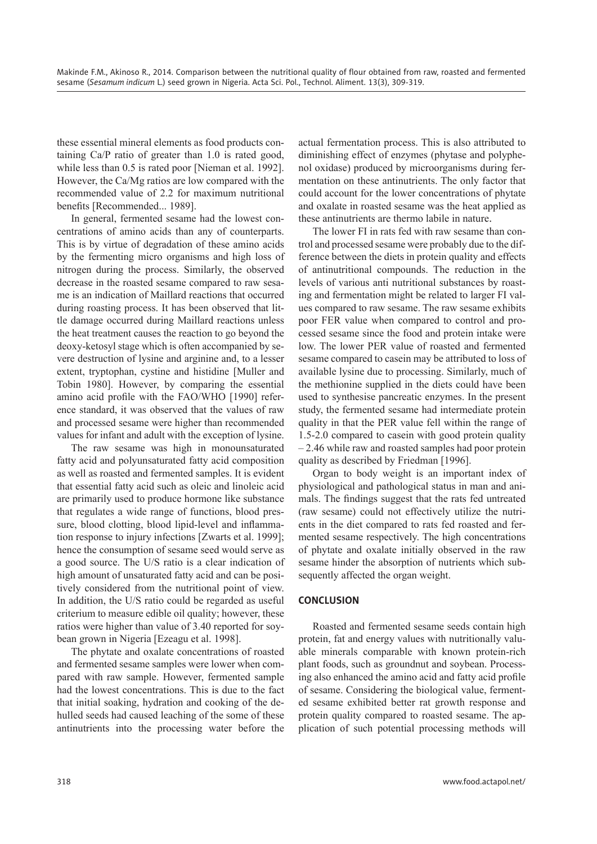these essential mineral elements as food products containing Ca/P ratio of greater than 1.0 is rated good, while less than 0.5 is rated poor [Nieman et al. 1992]. However, the Ca/Mg ratios are low compared with the recommended value of 2.2 for maximum nutritional benefits [Recommended... 1989].

In general, fermented sesame had the lowest concentrations of amino acids than any of counterparts. This is by virtue of degradation of these amino acids by the fermenting micro organisms and high loss of nitrogen during the process. Similarly, the observed decrease in the roasted sesame compared to raw sesame is an indication of Maillard reactions that occurred during roasting process. It has been observed that little damage occurred during Maillard reactions unless the heat treatment causes the reaction to go beyond the deoxy-ketosyl stage which is often accompanied by severe destruction of lysine and arginine and, to a lesser extent, tryptophan, cystine and histidine [Muller and Tobin 1980]. However, by comparing the essential amino acid profile with the FAO/WHO [1990] reference standard, it was observed that the values of raw and processed sesame were higher than recommended values for infant and adult with the exception of lysine.

The raw sesame was high in monounsaturated fatty acid and polyunsaturated fatty acid composition as well as roasted and fermented samples. It is evident that essential fatty acid such as oleic and linoleic acid are primarily used to produce hormone like substance that regulates a wide range of functions, blood pressure, blood clotting, blood lipid-level and inflammation response to injury infections [Zwarts et al. 1999]; hence the consumption of sesame seed would serve as a good source. The U/S ratio is a clear indication of high amount of unsaturated fatty acid and can be positively considered from the nutritional point of view. In addition, the U/S ratio could be regarded as useful criterium to measure edible oil quality; however, these ratios were higher than value of 3.40 reported for soybean grown in Nigeria [Ezeagu et al. 1998].

The phytate and oxalate concentrations of roasted and fermented sesame samples were lower when compared with raw sample. However, fermented sample had the lowest concentrations. This is due to the fact that initial soaking, hydration and cooking of the dehulled seeds had caused leaching of the some of these antinutrients into the processing water before the

actual fermentation process. This is also attributed to diminishing effect of enzymes (phytase and polyphenol oxidase) produced by microorganisms during fermentation on these antinutrients. The only factor that could account for the lower concentrations of phytate and oxalate in roasted sesame was the heat applied as these antinutrients are thermo labile in nature.

The lower FI in rats fed with raw sesame than control and processed sesame were probably due to the difference between the diets in protein quality and effects of antinutritional compounds. The reduction in the levels of various anti nutritional substances by roasting and fermentation might be related to larger FI values compared to raw sesame. The raw sesame exhibits poor FER value when compared to control and processed sesame since the food and protein intake were low. The lower PER value of roasted and fermented sesame compared to casein may be attributed to loss of available lysine due to processing. Similarly, much of the methionine supplied in the diets could have been used to synthesise pancreatic enzymes. In the present study, the fermented sesame had intermediate protein quality in that the PER value fell within the range of 1.5-2.0 compared to casein with good protein quality – 2.46 while raw and roasted samples had poor protein quality as described by Friedman [1996].

Organ to body weight is an important index of physiological and pathological status in man and animals. The findings suggest that the rats fed untreated (raw sesame) could not effectively utilize the nutrients in the diet compared to rats fed roasted and fermented sesame respectively. The high concentrations of phytate and oxalate initially observed in the raw sesame hinder the absorption of nutrients which subsequently affected the organ weight.

# **CONCLUSION**

Roasted and fermented sesame seeds contain high protein, fat and energy values with nutritionally valuable minerals comparable with known protein-rich plant foods, such as groundnut and soybean. Processing also enhanced the amino acid and fatty acid profile of sesame. Considering the biological value, fermented sesame exhibited better rat growth response and protein quality compared to roasted sesame. The application of such potential processing methods will